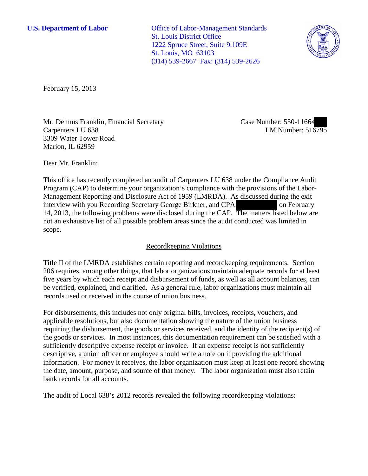**U.S. Department of Labor Office of Labor-Management Standards** St. Louis District Office 1222 Spruce Street, Suite 9.109E St. Louis, MO 63103 (314) 539-2667 Fax: (314) 539-2626



February 15, 2013

Mr. Delmus Franklin, Financial Secretary Carpenters LU 638 3309 Water Tower Road Marion, IL 62959

Case Number: 550-11664 LM Number: 516795

Dear Mr. Franklin:

This office has recently completed an audit of Carpenters LU 638 under the Compliance Audit Program (CAP) to determine your organization's compliance with the provisions of the Labor-Management Reporting and Disclosure Act of 1959 (LMRDA). As discussed during the exit interview with you Recording Secretary George Birkner, and CPA on February 14, 2013, the following problems were disclosed during the CAP. The matters listed below are not an exhaustive list of all possible problem areas since the audit conducted was limited in scope.

## Recordkeeping Violations

Title II of the LMRDA establishes certain reporting and recordkeeping requirements. Section 206 requires, among other things, that labor organizations maintain adequate records for at least five years by which each receipt and disbursement of funds, as well as all account balances, can be verified, explained, and clarified. As a general rule, labor organizations must maintain all records used or received in the course of union business.

For disbursements, this includes not only original bills, invoices, receipts, vouchers, and applicable resolutions, but also documentation showing the nature of the union business requiring the disbursement, the goods or services received, and the identity of the recipient(s) of the goods or services. In most instances, this documentation requirement can be satisfied with a sufficiently descriptive expense receipt or invoice. If an expense receipt is not sufficiently descriptive, a union officer or employee should write a note on it providing the additional information. For money it receives, the labor organization must keep at least one record showing the date, amount, purpose, and source of that money. The labor organization must also retain bank records for all accounts.

The audit of Local 638's 2012 records revealed the following recordkeeping violations: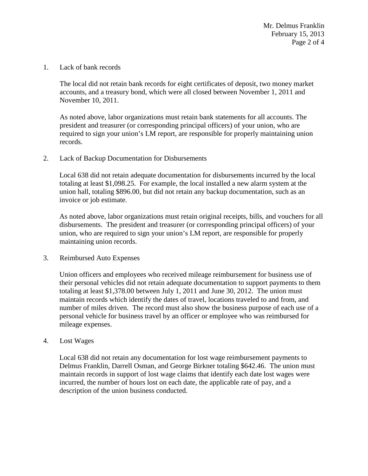Mr. Delmus Franklin February 15, 2013 Page 2 of 4

1. Lack of bank records

The local did not retain bank records for eight certificates of deposit, two money market accounts, and a treasury bond, which were all closed between November 1, 2011 and November 10, 2011.

As noted above, labor organizations must retain bank statements for all accounts. The president and treasurer (or corresponding principal officers) of your union, who are required to sign your union's LM report, are responsible for properly maintaining union records.

2. Lack of Backup Documentation for Disbursements

Local 638 did not retain adequate documentation for disbursements incurred by the local totaling at least \$1,098.25. For example, the local installed a new alarm system at the union hall, totaling \$896.00, but did not retain any backup documentation, such as an invoice or job estimate.

As noted above, labor organizations must retain original receipts, bills, and vouchers for all disbursements. The president and treasurer (or corresponding principal officers) of your union, who are required to sign your union's LM report, are responsible for properly maintaining union records.

3. Reimbursed Auto Expenses

Union officers and employees who received mileage reimbursement for business use of their personal vehicles did not retain adequate documentation to support payments to them totaling at least \$1,378.00 between July 1, 2011 and June 30, 2012. The union must maintain records which identify the dates of travel, locations traveled to and from, and number of miles driven. The record must also show the business purpose of each use of a personal vehicle for business travel by an officer or employee who was reimbursed for mileage expenses.

4. Lost Wages

Local 638 did not retain any documentation for lost wage reimbursement payments to Delmus Franklin, Darrell Osman, and George Birkner totaling \$642.46. The union must maintain records in support of lost wage claims that identify each date lost wages were incurred, the number of hours lost on each date, the applicable rate of pay, and a description of the union business conducted.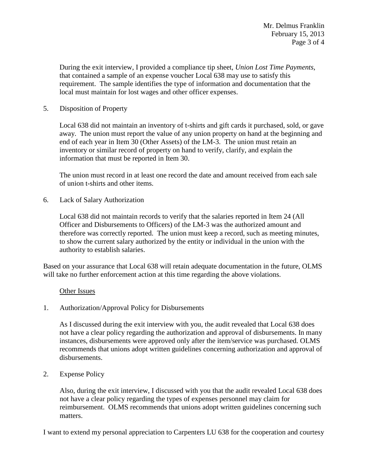During the exit interview, I provided a compliance tip sheet, *Union Lost Time Payments*, that contained a sample of an expense voucher Local 638 may use to satisfy this requirement. The sample identifies the type of information and documentation that the local must maintain for lost wages and other officer expenses.

## 5. Disposition of Property

Local 638 did not maintain an inventory of t-shirts and gift cards it purchased, sold, or gave away. The union must report the value of any union property on hand at the beginning and end of each year in Item 30 (Other Assets) of the LM-3. The union must retain an inventory or similar record of property on hand to verify, clarify, and explain the information that must be reported in Item 30.

The union must record in at least one record the date and amount received from each sale of union t-shirts and other items.

6. Lack of Salary Authorization

Local 638 did not maintain records to verify that the salaries reported in Item 24 (All Officer and Disbursements to Officers) of the LM-3 was the authorized amount and therefore was correctly reported. The union must keep a record, such as meeting minutes, to show the current salary authorized by the entity or individual in the union with the authority to establish salaries.

Based on your assurance that Local 638 will retain adequate documentation in the future, OLMS will take no further enforcement action at this time regarding the above violations.

## Other Issues

1. Authorization/Approval Policy for Disbursements

As I discussed during the exit interview with you, the audit revealed that Local 638 does not have a clear policy regarding the authorization and approval of disbursements. In many instances, disbursements were approved only after the item/service was purchased. OLMS recommends that unions adopt written guidelines concerning authorization and approval of disbursements.

2. Expense Policy

Also, during the exit interview, I discussed with you that the audit revealed Local 638 does not have a clear policy regarding the types of expenses personnel may claim for reimbursement. OLMS recommends that unions adopt written guidelines concerning such matters.

I want to extend my personal appreciation to Carpenters LU 638 for the cooperation and courtesy